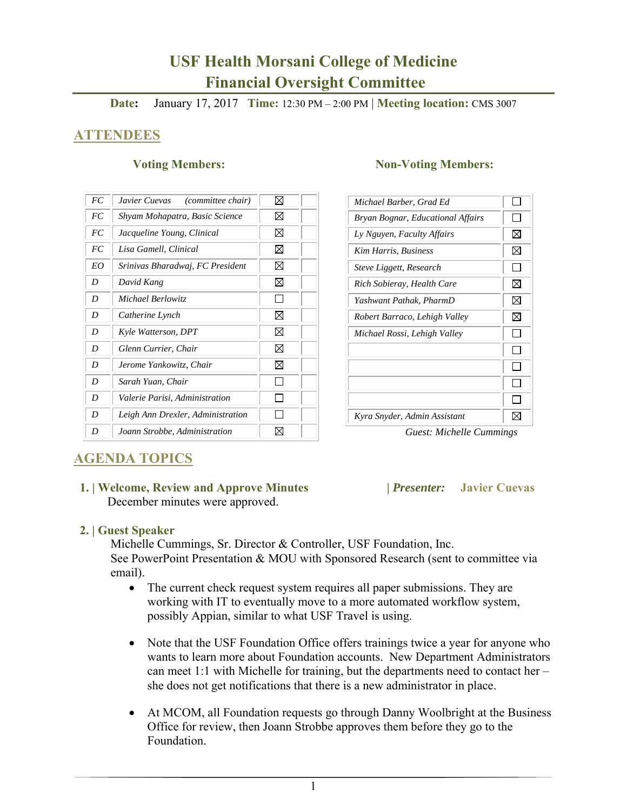# **USF Health Morsani College of Medicine Financial Oversight Committee**

**Date:** January 17, 2017 **Time:** 12:30 PM – 2:00 PM | **Meeting location:** CMS 3007

## **ATTENDEES**

| FC | (committee chair)<br>Javier Cuevas | ⊠ |  |
|----|------------------------------------|---|--|
| FC | Shyam Mohapatra, Basic Science     | ⊠ |  |
| FC | Jacqueline Young, Clinical         | ⊠ |  |
| FC | Lisa Gamell, Clinical              | ⋈ |  |
| EO | Srinivas Bharadwaj, FC President   | ⊠ |  |
| D  | David Kang                         | ⊠ |  |
| D  | Michael Berlowitz                  |   |  |
| D  | Catherine Lynch                    | ⊠ |  |
| D  | Kyle Watterson, DPT                | ⊠ |  |
| D  | Glenn Currier, Chair               | ⊠ |  |
| D  | Jerome Yankowitz, Chair            | ⊠ |  |
| D  | Sarah Yuan, Chair                  |   |  |
| D  | Valerie Parisi, Administration     |   |  |
| D  | Leigh Ann Drexler, Administration  |   |  |
| D  | Joann Strobbe, Administration      |   |  |

### **Voting Members:** Non-Voting Members:

| Michael Barber, Grad Ed           |              |
|-----------------------------------|--------------|
| Bryan Bognar, Educational Affairs | $\mathbf{r}$ |
| Ly Nguyen, Faculty Affairs        | ⊠            |
| Kim Harris, Business              | ⊠            |
| Steve Liggett, Research           |              |
| Rich Sobieray, Health Care        | ⊠            |
| Yashwant Pathak, PharmD           | ⊠            |
| Robert Barraco, Lehigh Valley     | ⊠            |
| Michael Rossi, Lehigh Valley      | $\mathbf{I}$ |
|                                   |              |
|                                   |              |
|                                   |              |
|                                   |              |
| Kyra Snyder, Admin Assistant      |              |

## **AGENDA TOPICS**

#### **1. | Welcome, Review and Approve Minutes****|** *Presenter:* **Javier Cuevas**  December minutes were approved.

 **2. | Guest Speaker** 

Michelle Cummings, Sr. Director & Controller, USF Foundation, Inc. See PowerPoint Presentation & MOU with Sponsored Research (sent to committee via email).

- The current check request system requires all paper submissions. They are working with IT to eventually move to a more automated workflow system, possibly Appian, similar to what USF Travel is using.
- Note that the USF Foundation Office offers trainings twice a year for anyone who wants to learn more about Foundation accounts. New Department Administrators can meet 1:1 with Michelle for training, but the departments need to contact her – she does not get notifications that there is a new administrator in place.
- At MCOM, all Foundation requests go through Danny Woolbright at the Business Office for review, then Joann Strobbe approves them before they go to the Foundation.

1

*Guest: Michelle Cummings*